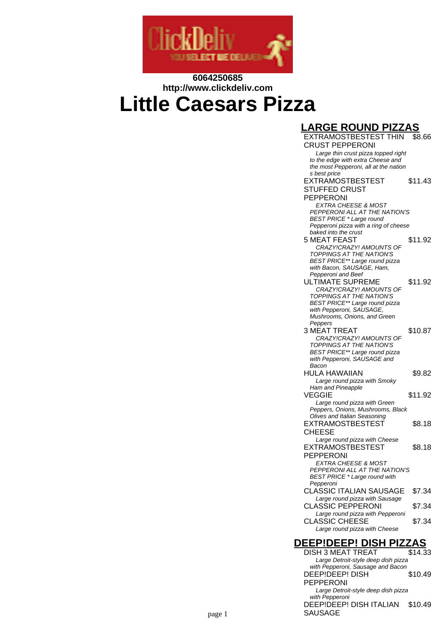

## **6064250685 http://www.clickdeliv.com Little Caesars Pizza**

#### EXTRAMOSTBESTEST THIN CRUST PEPPERONI \$8.66 Large thin crust pizza topped right to the edge with extra Cheese and the most Pepperoni, all at the nation s best price EXTRAMOSTBESTEST STUFFED CRUST PEPPERONI \$11.43 EXTRA CHEESE & MOST PEPPERONI ALL AT THE NATION'S BEST PRICE \* Large round Pepperoni pizza with a ring of cheese

**LARGE ROUND PIZZAS**

#### baked into the crust 5 MEAT FEAST \$11.92 CRAZY!CRAZY! AMOUNTS OF TOPPINGS AT THE NATION'S BEST PRICE\*\* Large round pizza with Bacon, SAUSAGE, Ham. Pepperoni and Beef ULTIMATE SUPREME \$11.92 CRAZY!CRAZY! AMOUNTS OF TOPPINGS AT THE NATION'S BEST PRICE\*\* Large round pizza with Pepperoni, SAUSAGE. Mushrooms, Onions, and Green Peppers 3 MEAT TREAT \$10.87 CRAZY!CRAZY! AMOUNTS OF TOPPINGS AT THE NATION'S BEST PRICE\*\* Large round pizza with Pepperoni, SAUSAGE and Bacon HULA HAWAIIAN \$9.82 Large round pizza with Smoky Ham and Pineapple

Large round pizza with Green Peppers, Onions, Mushrooms, Black Olives and Italian Seasoning EXTRAMOSTBESTEST CHEESE \$8.18 Large round pizza with Cheese EXTRAMOSTBESTEST PEPPERONI \$8.18 EXTRA CHEESE & MOST PEPPERONI ALL AT THE NATION'S BEST PRICE \* Large round with Pepperoni CLASSIC ITALIAN SAUSAGE \$7.34 Large round pizza with Sausage CLASSIC PEPPERONI \$7.34 Large round pizza with Pepperoni

VEGGIE \$11.92

### Large round pizza with Cheese **DEEP!DEEP! DISH PIZZAS**

CLASSIC CHEESE \$7.34

DISH 3 MEAT TREAT \$14.33 Large Detroit-style deep dish pizza with Pepperoni, Sausage and Bacon DEEP!DEEP! DISH PEPPERONI \$10.49 Large Detroit-style deep dish pizza with Pepperoni DEEP!DEEP! DISH ITALIAN \$10.49 SAUSAGE